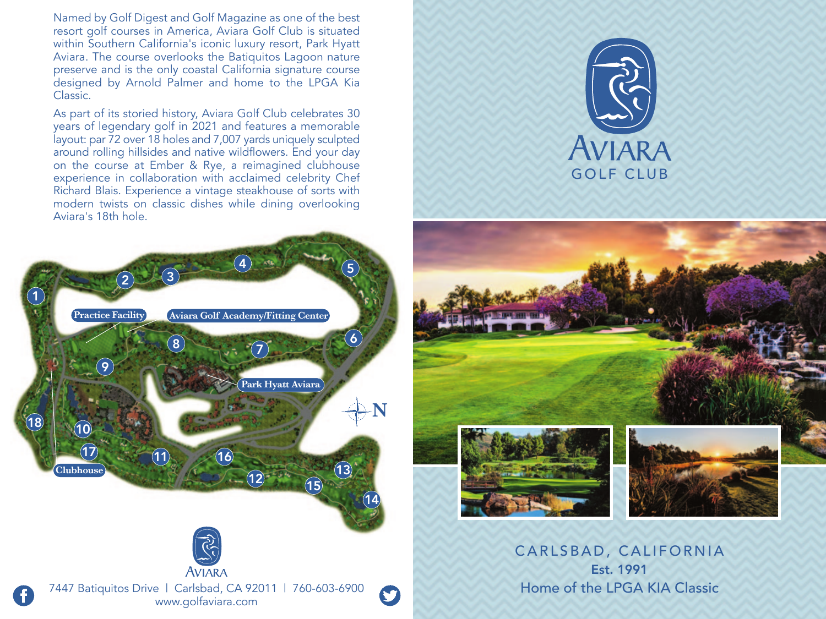Named by Golf Digest and Golf Magazine as one of the best resort golf courses in America, Aviara Golf Club is situated within Southern California's iconic luxury resort, Park Hyatt Aviara. The course overlooks the Batiquitos Lagoon nature preserve and is the only coastal California signature course designed by Arnold Palmer and home to the LPGA Kia Classic.

As part of its storied history, Aviara Golf Club celebrates 30 years of legendary golf in 2021 and features a memorable layout: par 72 over 18 holes and 7,007 yards uniquely sculpted around rolling hillsides and native wildflowers. End your day on the course at Ember & Rye, a reimagined clubhouse experience in collaboration with acclaimed celebrity Chef Richard Blais. Experience a vintage steakhouse of sorts with modern twists on classic dishes while dining overlooking Aviara's 18th hole.







CARLSBAD, CALIFORNIA Est. 1991



7447 Batiquitos Drive | Carlsbad, CA 92011 | 760-603-6900 www.golfaviara.com